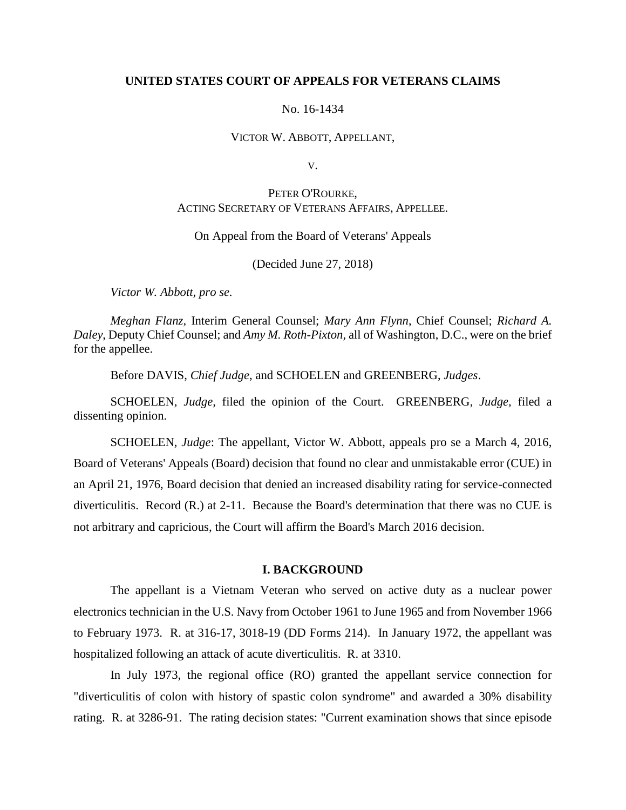### **UNITED STATES COURT OF APPEALS FOR VETERANS CLAIMS**

#### No. 16-1434

#### VICTOR W. ABBOTT, APPELLANT,

V.

# PETER O'ROURKE, ACTING SECRETARY OF VETERANS AFFAIRS, APPELLEE.

### On Appeal from the Board of Veterans' Appeals

(Decided June 27, 2018)

*Victor W. Abbott, pro se.*

*Meghan Flanz,* Interim General Counsel; *Mary Ann Flynn*, Chief Counsel; *Richard A. Daley*, Deputy Chief Counsel; and *Amy M. Roth-Pixton,* all of Washington, D.C., were on the brief for the appellee.

Before DAVIS, *Chief Judge*, and SCHOELEN and GREENBERG, *Judges*.

SCHOELEN, *Judge,* filed the opinion of the Court. GREENBERG, *Judge,* filed a dissenting opinion.

SCHOELEN, *Judge*: The appellant, Victor W. Abbott, appeals pro se a March 4, 2016, Board of Veterans' Appeals (Board) decision that found no clear and unmistakable error (CUE) in an April 21, 1976, Board decision that denied an increased disability rating for service-connected diverticulitis. Record (R.) at 2-11. Because the Board's determination that there was no CUE is not arbitrary and capricious, the Court will affirm the Board's March 2016 decision.

# **I. BACKGROUND**

The appellant is a Vietnam Veteran who served on active duty as a nuclear power electronics technician in the U.S. Navy from October 1961 to June 1965 and from November 1966 to February 1973. R. at 316-17, 3018-19 (DD Forms 214). In January 1972, the appellant was hospitalized following an attack of acute diverticulitis. R. at 3310.

In July 1973, the regional office (RO) granted the appellant service connection for "diverticulitis of colon with history of spastic colon syndrome" and awarded a 30% disability rating. R. at 3286-91. The rating decision states: "Current examination shows that since episode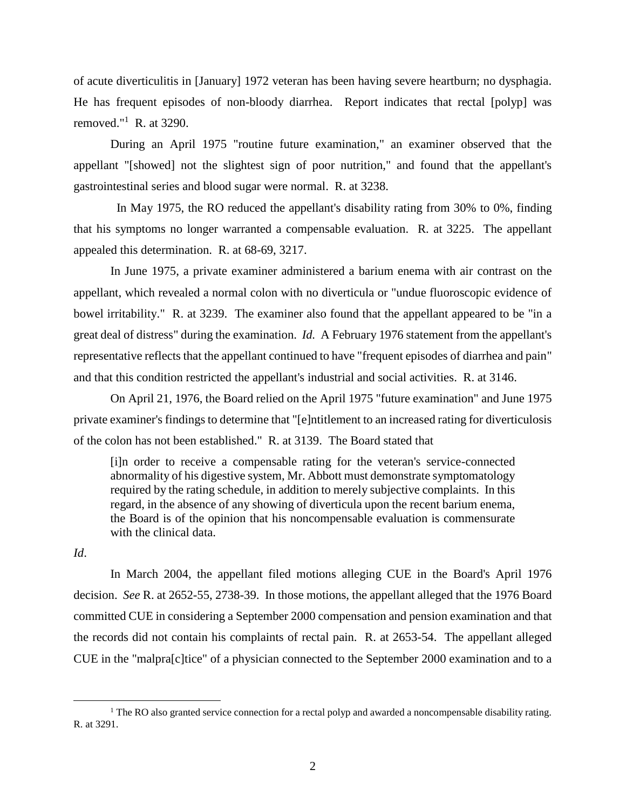of acute diverticulitis in [January] 1972 veteran has been having severe heartburn; no dysphagia. He has frequent episodes of non-bloody diarrhea. Report indicates that rectal [polyp] was removed."<sup>1</sup> R. at 3290.

During an April 1975 "routine future examination," an examiner observed that the appellant "[showed] not the slightest sign of poor nutrition," and found that the appellant's gastrointestinal series and blood sugar were normal. R. at 3238.

 In May 1975, the RO reduced the appellant's disability rating from 30% to 0%, finding that his symptoms no longer warranted a compensable evaluation. R. at 3225. The appellant appealed this determination. R. at 68-69, 3217.

In June 1975, a private examiner administered a barium enema with air contrast on the appellant, which revealed a normal colon with no diverticula or "undue fluoroscopic evidence of bowel irritability." R. at 3239. The examiner also found that the appellant appeared to be "in a great deal of distress" during the examination. *Id.* A February 1976 statement from the appellant's representative reflects that the appellant continued to have "frequent episodes of diarrhea and pain" and that this condition restricted the appellant's industrial and social activities. R. at 3146.

On April 21, 1976, the Board relied on the April 1975 "future examination" and June 1975 private examiner's findings to determine that "[e]ntitlement to an increased rating for diverticulosis of the colon has not been established." R. at 3139. The Board stated that

[i]n order to receive a compensable rating for the veteran's service-connected abnormality of his digestive system, Mr. Abbott must demonstrate symptomatology required by the rating schedule, in addition to merely subjective complaints. In this regard, in the absence of any showing of diverticula upon the recent barium enema, the Board is of the opinion that his noncompensable evaluation is commensurate with the clinical data.

# *Id*.

 $\overline{a}$ 

In March 2004, the appellant filed motions alleging CUE in the Board's April 1976 decision. *See* R. at 2652-55, 2738-39. In those motions, the appellant alleged that the 1976 Board committed CUE in considering a September 2000 compensation and pension examination and that the records did not contain his complaints of rectal pain. R. at 2653-54. The appellant alleged CUE in the "malpra[c]tice" of a physician connected to the September 2000 examination and to a

<sup>&</sup>lt;sup>1</sup> The RO also granted service connection for a rectal polyp and awarded a noncompensable disability rating. R. at 3291.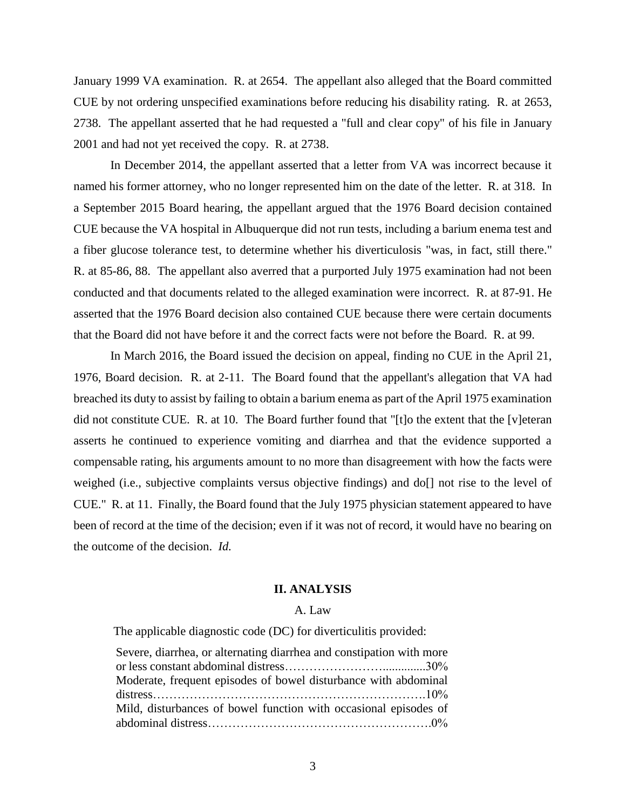January 1999 VA examination. R. at 2654. The appellant also alleged that the Board committed CUE by not ordering unspecified examinations before reducing his disability rating. R. at 2653, 2738. The appellant asserted that he had requested a "full and clear copy" of his file in January 2001 and had not yet received the copy. R. at 2738.

In December 2014, the appellant asserted that a letter from VA was incorrect because it named his former attorney, who no longer represented him on the date of the letter. R. at 318. In a September 2015 Board hearing, the appellant argued that the 1976 Board decision contained CUE because the VA hospital in Albuquerque did not run tests, including a barium enema test and a fiber glucose tolerance test, to determine whether his diverticulosis "was, in fact, still there." R. at 85-86, 88. The appellant also averred that a purported July 1975 examination had not been conducted and that documents related to the alleged examination were incorrect. R. at 87-91. He asserted that the 1976 Board decision also contained CUE because there were certain documents that the Board did not have before it and the correct facts were not before the Board. R. at 99.

In March 2016, the Board issued the decision on appeal, finding no CUE in the April 21, 1976, Board decision. R. at 2-11. The Board found that the appellant's allegation that VA had breached its duty to assist by failing to obtain a barium enema as part of the April 1975 examination did not constitute CUE. R. at 10. The Board further found that "[t]o the extent that the [v]eteran asserts he continued to experience vomiting and diarrhea and that the evidence supported a compensable rating, his arguments amount to no more than disagreement with how the facts were weighed (i.e., subjective complaints versus objective findings) and do[] not rise to the level of CUE." R. at 11. Finally, the Board found that the July 1975 physician statement appeared to have been of record at the time of the decision; even if it was not of record, it would have no bearing on the outcome of the decision. *Id.*

#### **II. ANALYSIS**

## A. Law

The applicable diagnostic code (DC) for diverticulitis provided:

| Severe, diarrhea, or alternating diarrhea and constipation with more |  |
|----------------------------------------------------------------------|--|
|                                                                      |  |
| Moderate, frequent episodes of bowel disturbance with abdominal      |  |
|                                                                      |  |
| Mild, disturbances of bowel function with occasional episodes of     |  |
|                                                                      |  |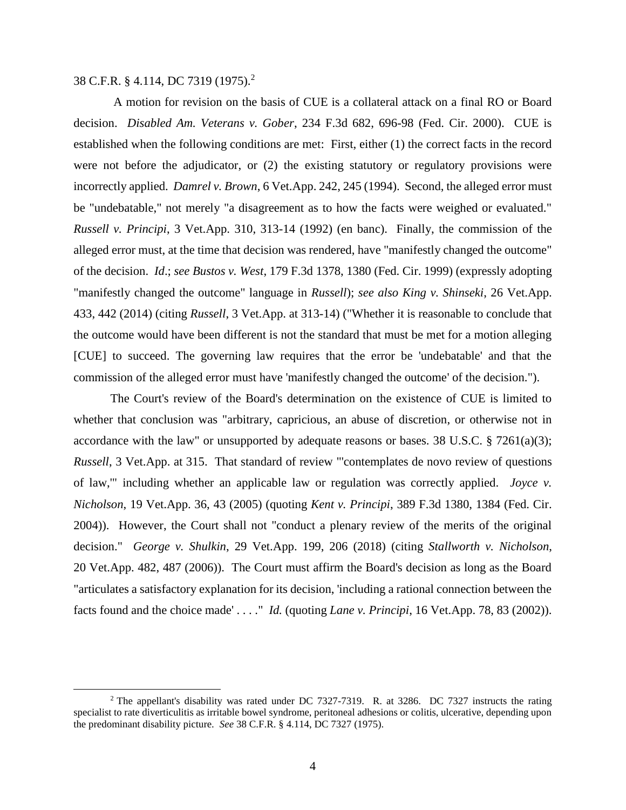38 C.F.R. § 4.114, DC 7319 (1975).<sup>2</sup>

 $\overline{a}$ 

A motion for revision on the basis of CUE is a collateral attack on a final RO or Board decision. *Disabled Am. Veterans v. Gober*, 234 F.3d 682, 696-98 (Fed. Cir. 2000). CUE is established when the following conditions are met: First, either (1) the correct facts in the record were not before the adjudicator, or (2) the existing statutory or regulatory provisions were incorrectly applied. *Damrel v. Brown*, 6 Vet.App. 242, 245 (1994). Second, the alleged error must be "undebatable," not merely "a disagreement as to how the facts were weighed or evaluated." *Russell v. Principi*, 3 Vet.App. 310, 313-14 (1992) (en banc). Finally, the commission of the alleged error must, at the time that decision was rendered, have "manifestly changed the outcome" of the decision. *Id*.; *see Bustos v. West*, 179 F.3d 1378, 1380 (Fed. Cir. 1999) (expressly adopting "manifestly changed the outcome" language in *Russell*); *see also King v. Shinseki*, 26 Vet.App. 433, 442 (2014) (citing *Russell*, 3 Vet.App. at 313-14) ("Whether it is reasonable to conclude that the outcome would have been different is not the standard that must be met for a motion alleging [CUE] to succeed. The governing law requires that the error be 'undebatable' and that the commission of the alleged error must have 'manifestly changed the outcome' of the decision.").

The Court's review of the Board's determination on the existence of CUE is limited to whether that conclusion was "arbitrary, capricious, an abuse of discretion, or otherwise not in accordance with the law" or unsupported by adequate reasons or bases. 38 U.S.C.  $\S$  7261(a)(3); *Russell*, 3 Vet.App. at 315. That standard of review "'contemplates de novo review of questions of law,'" including whether an applicable law or regulation was correctly applied. *Joyce v. Nicholson*, 19 Vet.App. 36, 43 (2005) (quoting *Kent v. Principi*, 389 F.3d 1380, 1384 (Fed. Cir. 2004)). However, the Court shall not "conduct a plenary review of the merits of the original decision." *George v. Shulkin*, 29 Vet.App. 199, 206 (2018) (citing *Stallworth v. Nicholson*, 20 Vet.App. 482, 487 (2006)). The Court must affirm the Board's decision as long as the Board "articulates a satisfactory explanation for its decision, 'including a rational connection between the facts found and the choice made' . . . ." *Id.* (quoting *Lane v. Principi*, 16 Vet.App. 78, 83 (2002)).

<sup>&</sup>lt;sup>2</sup> The appellant's disability was rated under DC 7327-7319. R. at 3286. DC 7327 instructs the rating specialist to rate diverticulitis as irritable bowel syndrome, peritoneal adhesions or colitis, ulcerative, depending upon the predominant disability picture. *See* 38 C.F.R. § 4.114, DC 7327 (1975).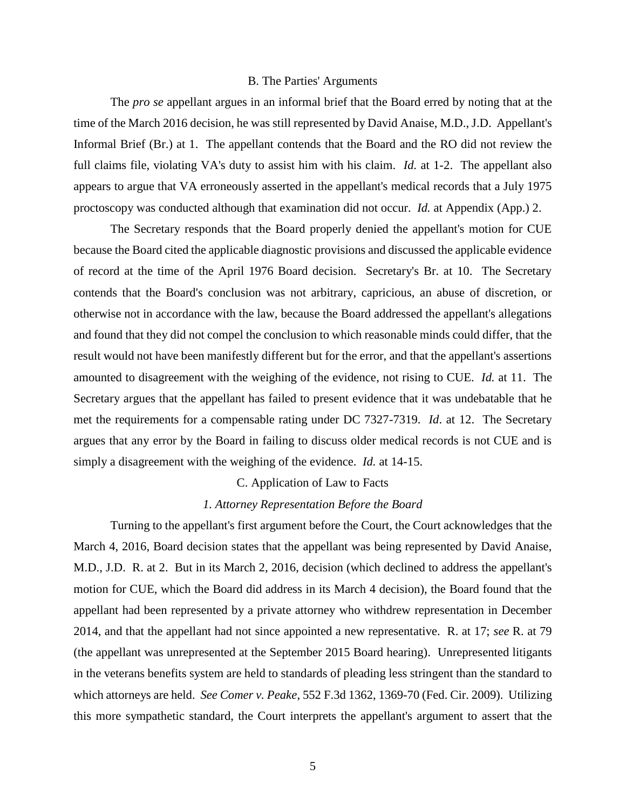#### B. The Parties' Arguments

The *pro se* appellant argues in an informal brief that the Board erred by noting that at the time of the March 2016 decision, he was still represented by David Anaise, M.D., J.D. Appellant's Informal Brief (Br.) at 1. The appellant contends that the Board and the RO did not review the full claims file, violating VA's duty to assist him with his claim. *Id.* at 1-2. The appellant also appears to argue that VA erroneously asserted in the appellant's medical records that a July 1975 proctoscopy was conducted although that examination did not occur. *Id.* at Appendix (App.) 2.

The Secretary responds that the Board properly denied the appellant's motion for CUE because the Board cited the applicable diagnostic provisions and discussed the applicable evidence of record at the time of the April 1976 Board decision. Secretary's Br. at 10. The Secretary contends that the Board's conclusion was not arbitrary, capricious, an abuse of discretion, or otherwise not in accordance with the law, because the Board addressed the appellant's allegations and found that they did not compel the conclusion to which reasonable minds could differ, that the result would not have been manifestly different but for the error, and that the appellant's assertions amounted to disagreement with the weighing of the evidence, not rising to CUE. *Id.* at 11. The Secretary argues that the appellant has failed to present evidence that it was undebatable that he met the requirements for a compensable rating under DC 7327-7319. *Id*. at 12. The Secretary argues that any error by the Board in failing to discuss older medical records is not CUE and is simply a disagreement with the weighing of the evidence. *Id.* at 14-15.

## C. Application of Law to Facts

### *1. Attorney Representation Before the Board*

Turning to the appellant's first argument before the Court, the Court acknowledges that the March 4, 2016, Board decision states that the appellant was being represented by David Anaise, M.D., J.D. R. at 2. But in its March 2, 2016, decision (which declined to address the appellant's motion for CUE, which the Board did address in its March 4 decision), the Board found that the appellant had been represented by a private attorney who withdrew representation in December 2014, and that the appellant had not since appointed a new representative. R. at 17; *see* R. at 79 (the appellant was unrepresented at the September 2015 Board hearing). Unrepresented litigants in the veterans benefits system are held to standards of pleading less stringent than the standard to which attorneys are held. *See Comer v. Peake*, 552 F.3d 1362, 1369-70 (Fed. Cir. 2009). Utilizing this more sympathetic standard, the Court interprets the appellant's argument to assert that the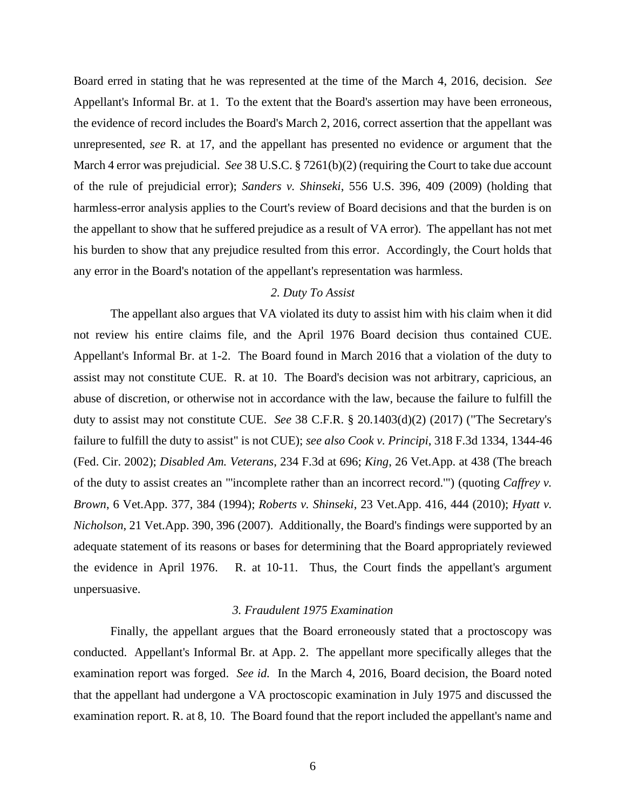Board erred in stating that he was represented at the time of the March 4, 2016, decision. *See*  Appellant's Informal Br. at 1. To the extent that the Board's assertion may have been erroneous, the evidence of record includes the Board's March 2, 2016, correct assertion that the appellant was unrepresented, *see* R. at 17, and the appellant has presented no evidence or argument that the March 4 error was prejudicial. *See* 38 U.S.C. § 7261(b)(2) (requiring the Court to take due account of the rule of prejudicial error); *Sanders v. Shinseki*, 556 U.S. 396, 409 (2009) (holding that harmless-error analysis applies to the Court's review of Board decisions and that the burden is on the appellant to show that he suffered prejudice as a result of VA error). The appellant has not met his burden to show that any prejudice resulted from this error. Accordingly, the Court holds that any error in the Board's notation of the appellant's representation was harmless.

# *2. Duty To Assist*

The appellant also argues that VA violated its duty to assist him with his claim when it did not review his entire claims file, and the April 1976 Board decision thus contained CUE. Appellant's Informal Br. at 1-2. The Board found in March 2016 that a violation of the duty to assist may not constitute CUE. R. at 10. The Board's decision was not arbitrary, capricious, an abuse of discretion, or otherwise not in accordance with the law, because the failure to fulfill the duty to assist may not constitute CUE. *See* 38 C.F.R. § 20.1403(d)(2) (2017) ("The Secretary's failure to fulfill the duty to assist" is not CUE); *see also Cook v. Principi*, 318 F.3d 1334, 1344-46 (Fed. Cir. 2002); *Disabled Am. Veterans*, 234 F.3d at 696; *King*, 26 Vet.App. at 438 (The breach of the duty to assist creates an "'incomplete rather than an incorrect record.'") (quoting *Caffrey v. Brown*, 6 Vet.App. 377, 384 (1994); *Roberts v. Shinseki*, 23 Vet.App. 416, 444 (2010); *Hyatt v. Nicholson*, 21 Vet.App. 390, 396 (2007). Additionally, the Board's findings were supported by an adequate statement of its reasons or bases for determining that the Board appropriately reviewed the evidence in April 1976. R. at 10-11. Thus, the Court finds the appellant's argument unpersuasive.

# *3. Fraudulent 1975 Examination*

Finally, the appellant argues that the Board erroneously stated that a proctoscopy was conducted. Appellant's Informal Br*.* at App. 2. The appellant more specifically alleges that the examination report was forged. *See id.* In the March 4, 2016, Board decision, the Board noted that the appellant had undergone a VA proctoscopic examination in July 1975 and discussed the examination report. R. at 8, 10. The Board found that the report included the appellant's name and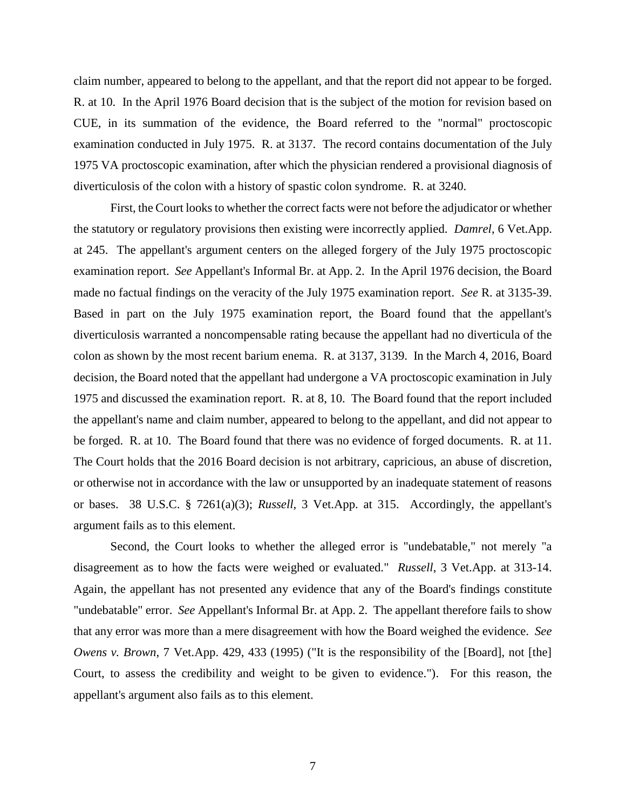claim number, appeared to belong to the appellant, and that the report did not appear to be forged. R. at 10. In the April 1976 Board decision that is the subject of the motion for revision based on CUE, in its summation of the evidence, the Board referred to the "normal" proctoscopic examination conducted in July 1975. R. at 3137. The record contains documentation of the July 1975 VA proctoscopic examination, after which the physician rendered a provisional diagnosis of diverticulosis of the colon with a history of spastic colon syndrome. R. at 3240.

First, the Court looks to whether the correct facts were not before the adjudicator or whether the statutory or regulatory provisions then existing were incorrectly applied. *Damrel*, 6 Vet.App. at 245. The appellant's argument centers on the alleged forgery of the July 1975 proctoscopic examination report. *See* Appellant's Informal Br. at App. 2. In the April 1976 decision, the Board made no factual findings on the veracity of the July 1975 examination report. *See* R. at 3135-39. Based in part on the July 1975 examination report, the Board found that the appellant's diverticulosis warranted a noncompensable rating because the appellant had no diverticula of the colon as shown by the most recent barium enema. R. at 3137, 3139. In the March 4, 2016, Board decision, the Board noted that the appellant had undergone a VA proctoscopic examination in July 1975 and discussed the examination report. R. at 8, 10. The Board found that the report included the appellant's name and claim number, appeared to belong to the appellant, and did not appear to be forged. R. at 10. The Board found that there was no evidence of forged documents. R. at 11. The Court holds that the 2016 Board decision is not arbitrary, capricious, an abuse of discretion, or otherwise not in accordance with the law or unsupported by an inadequate statement of reasons or bases. 38 U.S.C. § 7261(a)(3); *Russell*, 3 Vet.App. at 315. Accordingly, the appellant's argument fails as to this element.

Second, the Court looks to whether the alleged error is "undebatable," not merely "a disagreement as to how the facts were weighed or evaluated." *Russell*, 3 Vet.App. at 313-14. Again, the appellant has not presented any evidence that any of the Board's findings constitute "undebatable" error. *See* Appellant's Informal Br. at App. 2. The appellant therefore fails to show that any error was more than a mere disagreement with how the Board weighed the evidence. *See Owens v. Brown*, 7 Vet.App. 429, 433 (1995) ("It is the responsibility of the [Board], not [the] Court, to assess the credibility and weight to be given to evidence."). For this reason, the appellant's argument also fails as to this element.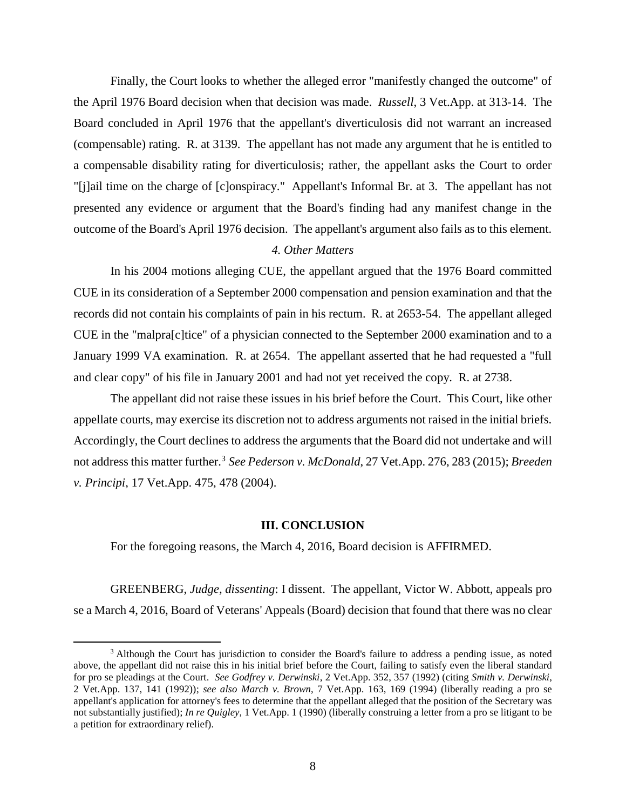Finally, the Court looks to whether the alleged error "manifestly changed the outcome" of the April 1976 Board decision when that decision was made. *Russell*, 3 Vet.App. at 313-14. The Board concluded in April 1976 that the appellant's diverticulosis did not warrant an increased (compensable) rating. R. at 3139. The appellant has not made any argument that he is entitled to a compensable disability rating for diverticulosis; rather, the appellant asks the Court to order "[j]ail time on the charge of [c]onspiracy." Appellant's Informal Br. at 3. The appellant has not presented any evidence or argument that the Board's finding had any manifest change in the outcome of the Board's April 1976 decision. The appellant's argument also fails as to this element.

## *4. Other Matters*

In his 2004 motions alleging CUE, the appellant argued that the 1976 Board committed CUE in its consideration of a September 2000 compensation and pension examination and that the records did not contain his complaints of pain in his rectum. R. at 2653-54. The appellant alleged CUE in the "malpra[c]tice" of a physician connected to the September 2000 examination and to a January 1999 VA examination. R. at 2654. The appellant asserted that he had requested a "full and clear copy" of his file in January 2001 and had not yet received the copy. R. at 2738.

The appellant did not raise these issues in his brief before the Court. This Court, like other appellate courts, may exercise its discretion not to address arguments not raised in the initial briefs. Accordingly, the Court declines to address the arguments that the Board did not undertake and will not address this matter further.<sup>3</sup> *See Pederson v. McDonald*, 27 Vet.App. 276, 283 (2015); *Breeden v. Principi*, 17 Vet.App. 475, 478 (2004).

#### **III. CONCLUSION**

For the foregoing reasons, the March 4, 2016, Board decision is AFFIRMED.

 $\overline{a}$ 

GREENBERG, *Judge, dissenting*: I dissent. The appellant, Victor W. Abbott, appeals pro se a March 4, 2016, Board of Veterans' Appeals (Board) decision that found that there was no clear

<sup>&</sup>lt;sup>3</sup> Although the Court has jurisdiction to consider the Board's failure to address a pending issue, as noted above, the appellant did not raise this in his initial brief before the Court, failing to satisfy even the liberal standard for pro se pleadings at the Court. *See Godfrey v. Derwinski*, 2 Vet.App. 352, 357 (1992) (citing *Smith v. Derwinski*, 2 Vet.App. 137, 141 (1992)); *see also March v. Brown*, 7 Vet.App. 163, 169 (1994) (liberally reading a pro se appellant's application for attorney's fees to determine that the appellant alleged that the position of the Secretary was not substantially justified); *In re Quigley*, 1 Vet.App. 1 (1990) (liberally construing a letter from a pro se litigant to be a petition for extraordinary relief).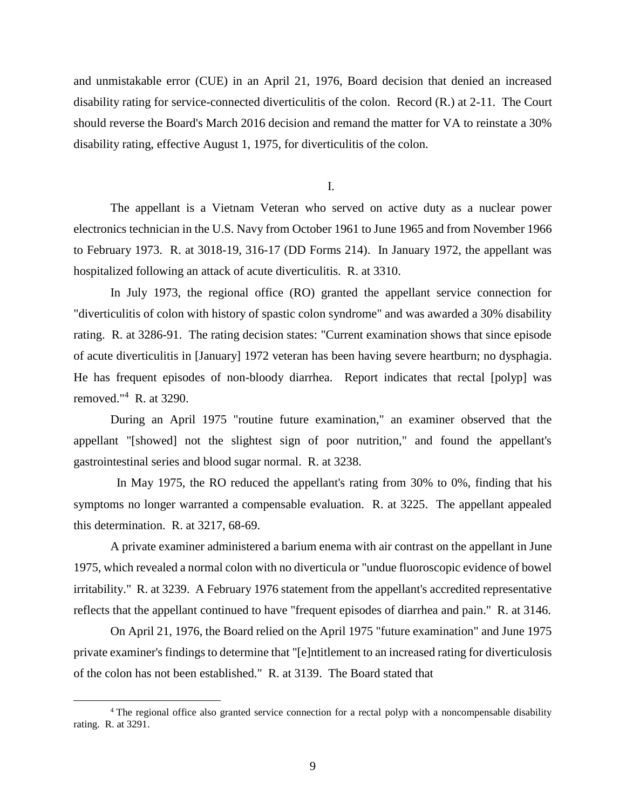and unmistakable error (CUE) in an April 21, 1976, Board decision that denied an increased disability rating for service-connected diverticulitis of the colon. Record (R.) at 2-11. The Court should reverse the Board's March 2016 decision and remand the matter for VA to reinstate a 30% disability rating, effective August 1, 1975, for diverticulitis of the colon.

I.

The appellant is a Vietnam Veteran who served on active duty as a nuclear power electronics technician in the U.S. Navy from October 1961 to June 1965 and from November 1966 to February 1973. R. at 3018-19, 316-17 (DD Forms 214). In January 1972, the appellant was hospitalized following an attack of acute diverticulitis. R. at 3310.

In July 1973, the regional office (RO) granted the appellant service connection for "diverticulitis of colon with history of spastic colon syndrome" and was awarded a 30% disability rating. R. at 3286-91. The rating decision states: "Current examination shows that since episode of acute diverticulitis in [January] 1972 veteran has been having severe heartburn; no dysphagia. He has frequent episodes of non-bloody diarrhea. Report indicates that rectal [polyp] was removed."<sup>4</sup> R. at 3290.

During an April 1975 "routine future examination," an examiner observed that the appellant "[showed] not the slightest sign of poor nutrition," and found the appellant's gastrointestinal series and blood sugar normal. R. at 3238.

 In May 1975, the RO reduced the appellant's rating from 30% to 0%, finding that his symptoms no longer warranted a compensable evaluation. R. at 3225. The appellant appealed this determination. R. at 3217, 68-69.

A private examiner administered a barium enema with air contrast on the appellant in June 1975, which revealed a normal colon with no diverticula or "undue fluoroscopic evidence of bowel irritability." R. at 3239. A February 1976 statement from the appellant's accredited representative reflects that the appellant continued to have "frequent episodes of diarrhea and pain." R. at 3146.

On April 21, 1976, the Board relied on the April 1975 "future examination" and June 1975 private examiner's findings to determine that "[e]ntitlement to an increased rating for diverticulosis of the colon has not been established." R. at 3139. The Board stated that

 $\overline{a}$ 

<sup>4</sup> The regional office also granted service connection for a rectal polyp with a noncompensable disability rating. R. at 3291.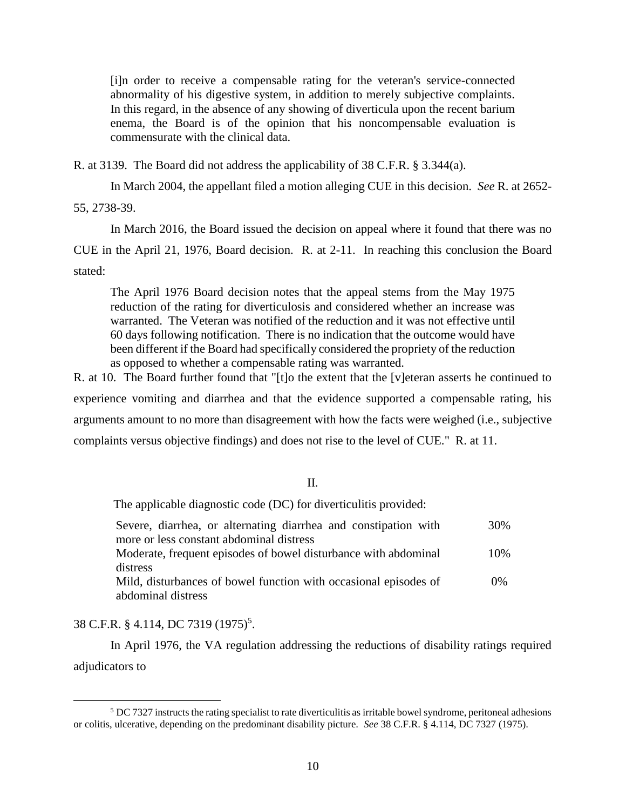[i]n order to receive a compensable rating for the veteran's service-connected abnormality of his digestive system, in addition to merely subjective complaints. In this regard, in the absence of any showing of diverticula upon the recent barium enema, the Board is of the opinion that his noncompensable evaluation is commensurate with the clinical data.

R. at 3139. The Board did not address the applicability of 38 C.F.R. § 3.344(a).

In March 2004, the appellant filed a motion alleging CUE in this decision. *See* R. at 2652-

55, 2738-39.

In March 2016, the Board issued the decision on appeal where it found that there was no CUE in the April 21, 1976, Board decision. R. at 2-11. In reaching this conclusion the Board stated:

The April 1976 Board decision notes that the appeal stems from the May 1975 reduction of the rating for diverticulosis and considered whether an increase was warranted. The Veteran was notified of the reduction and it was not effective until 60 days following notification. There is no indication that the outcome would have been different if the Board had specifically considered the propriety of the reduction as opposed to whether a compensable rating was warranted.

R. at 10. The Board further found that "[t]o the extent that the [v]eteran asserts he continued to experience vomiting and diarrhea and that the evidence supported a compensable rating, his arguments amount to no more than disagreement with how the facts were weighed (i.e., subjective complaints versus objective findings) and does not rise to the level of CUE." R. at 11.

## II.

The applicable diagnostic code (DC) for diverticulitis provided:

| Severe, diarrhea, or alternating diarrhea and constipation with  | 30%   |
|------------------------------------------------------------------|-------|
| more or less constant abdominal distress                         |       |
| Moderate, frequent episodes of bowel disturbance with abdominal  | 10%   |
| distress                                                         |       |
| Mild, disturbances of bowel function with occasional episodes of | $0\%$ |
| abdominal distress                                               |       |

# 38 C.F.R. § 4.114, DC 7319 (1975)<sup>5</sup>.

 $\overline{a}$ 

In April 1976, the VA regulation addressing the reductions of disability ratings required adjudicators to

 $5$  DC 7327 instructs the rating specialist to rate diverticulitis as irritable bowel syndrome, peritoneal adhesions or colitis, ulcerative, depending on the predominant disability picture. *See* 38 C.F.R. § 4.114, DC 7327 (1975).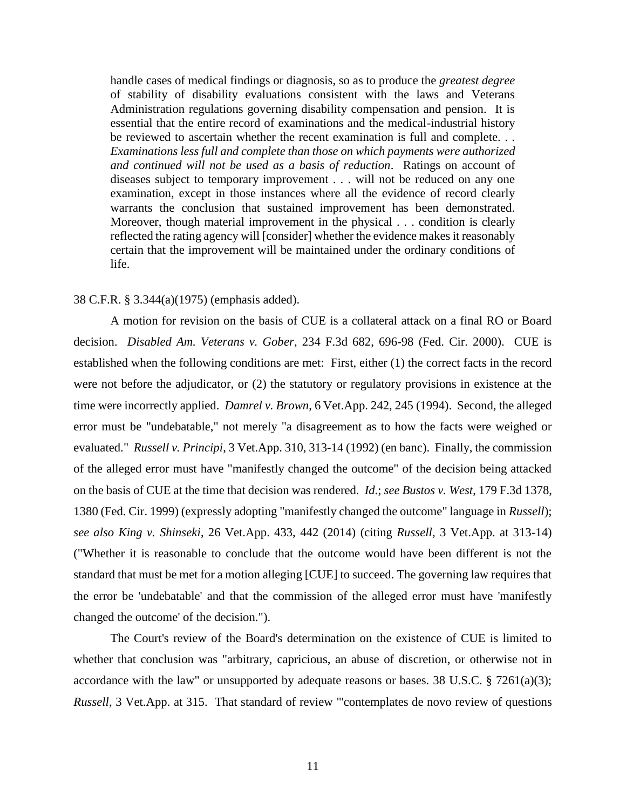handle cases of medical findings or diagnosis, so as to produce the *greatest degree* of stability of disability evaluations consistent with the laws and Veterans Administration regulations governing disability compensation and pension. It is essential that the entire record of examinations and the medical-industrial history be reviewed to ascertain whether the recent examination is full and complete. . . *Examinations less full and complete than those on which payments were authorized and continued will not be used as a basis of reduction*. Ratings on account of diseases subject to temporary improvement . . . will not be reduced on any one examination, except in those instances where all the evidence of record clearly warrants the conclusion that sustained improvement has been demonstrated. Moreover, though material improvement in the physical . . . condition is clearly reflected the rating agency will [consider] whether the evidence makes it reasonably certain that the improvement will be maintained under the ordinary conditions of life.

### 38 C.F.R. § 3.344(a)(1975) (emphasis added).

A motion for revision on the basis of CUE is a collateral attack on a final RO or Board decision. *Disabled Am. Veterans v. Gober*, 234 F.3d 682, 696-98 (Fed. Cir. 2000). CUE is established when the following conditions are met: First, either (1) the correct facts in the record were not before the adjudicator, or (2) the statutory or regulatory provisions in existence at the time were incorrectly applied. *Damrel v. Brown*, 6 Vet.App. 242, 245 (1994). Second, the alleged error must be "undebatable," not merely "a disagreement as to how the facts were weighed or evaluated." *Russell v. Principi*, 3 Vet.App. 310, 313-14 (1992) (en banc). Finally, the commission of the alleged error must have "manifestly changed the outcome" of the decision being attacked on the basis of CUE at the time that decision was rendered. *Id*.; *see Bustos v. West*, 179 F.3d 1378, 1380 (Fed. Cir. 1999) (expressly adopting "manifestly changed the outcome" language in *Russell*); *see also King v. Shinseki*, 26 Vet.App. 433, 442 (2014) (citing *Russell*, 3 Vet.App. at 313-14) ("Whether it is reasonable to conclude that the outcome would have been different is not the standard that must be met for a motion alleging [CUE] to succeed. The governing law requires that the error be 'undebatable' and that the commission of the alleged error must have 'manifestly changed the outcome' of the decision.").

The Court's review of the Board's determination on the existence of CUE is limited to whether that conclusion was "arbitrary, capricious, an abuse of discretion, or otherwise not in accordance with the law" or unsupported by adequate reasons or bases. 38 U.S.C.  $\S$  7261(a)(3); *Russell*, 3 Vet.App. at 315. That standard of review "'contemplates de novo review of questions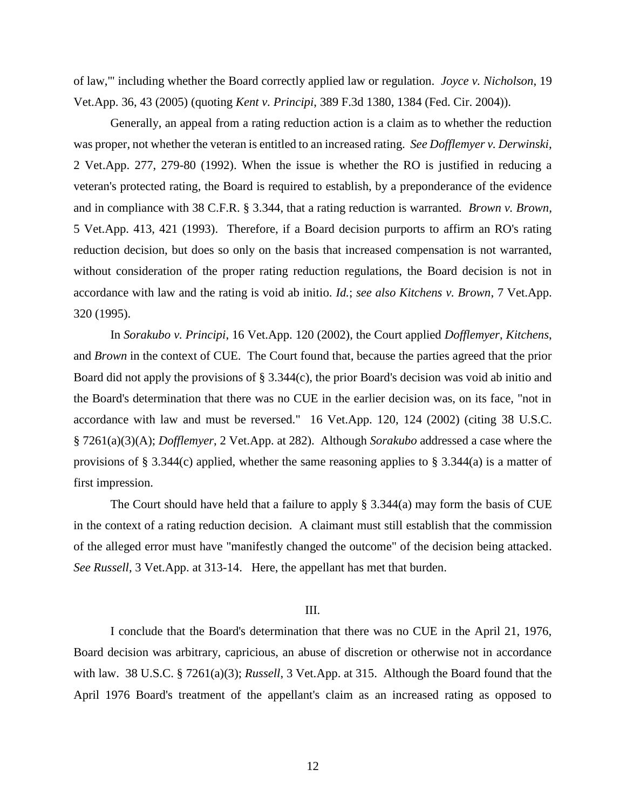of law,'" including whether the Board correctly applied law or regulation. *Joyce v. Nicholson*, 19 Vet.App. 36, 43 (2005) (quoting *Kent v. Principi*, 389 F.3d 1380, 1384 (Fed. Cir. 2004)).

Generally, an appeal from a rating reduction action is a claim as to whether the reduction was proper, not whether the veteran is entitled to an increased rating. *See Dofflemyer v. Derwinski*, 2 Vet.App. 277, 279-80 (1992). When the issue is whether the RO is justified in reducing a veteran's protected rating, the Board is required to establish, by a preponderance of the evidence and in compliance with 38 C.F.R. § 3.344, that a rating reduction is warranted. *Brown v. Brown*, 5 Vet.App. 413, 421 (1993). Therefore, if a Board decision purports to affirm an RO's rating reduction decision, but does so only on the basis that increased compensation is not warranted, without consideration of the proper rating reduction regulations, the Board decision is not in accordance with law and the rating is void ab initio. *Id.*; *see also Kitchens v. Brown*, 7 Vet.App. 320 (1995).

In *Sorakubo v. Principi*, 16 Vet.App. 120 (2002), the Court applied *Dofflemyer*, *Kitchens*, and *Brown* in the context of CUE. The Court found that, because the parties agreed that the prior Board did not apply the provisions of § 3.344(c), the prior Board's decision was void ab initio and the Board's determination that there was no CUE in the earlier decision was, on its face, "not in accordance with law and must be reversed." 16 Vet.App. 120, 124 (2002) (citing 38 U.S.C. § 7261(a)(3)(A); *Dofflemyer*, 2 Vet.App. at 282). Although *Sorakubo* addressed a case where the provisions of § 3.344(c) applied, whether the same reasoning applies to § 3.344(a) is a matter of first impression.

The Court should have held that a failure to apply  $\S 3.344(a)$  may form the basis of CUE in the context of a rating reduction decision. A claimant must still establish that the commission of the alleged error must have "manifestly changed the outcome" of the decision being attacked. *See Russell*, 3 Vet.App. at 313-14. Here, the appellant has met that burden.

#### III.

I conclude that the Board's determination that there was no CUE in the April 21, 1976, Board decision was arbitrary, capricious, an abuse of discretion or otherwise not in accordance with law. 38 U.S.C. § 7261(a)(3); *Russell*, 3 Vet.App. at 315. Although the Board found that the April 1976 Board's treatment of the appellant's claim as an increased rating as opposed to